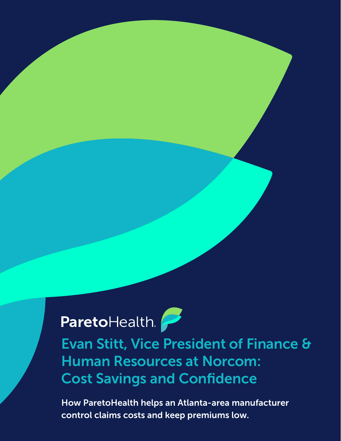# ParetoHealth.

Evan Stitt, Vice President of Finance & Human Resources at Norcom: Cost Savings and Confidence

How ParetoHealth helps an Atlanta-area manufacturer control claims costs and keep premiums low.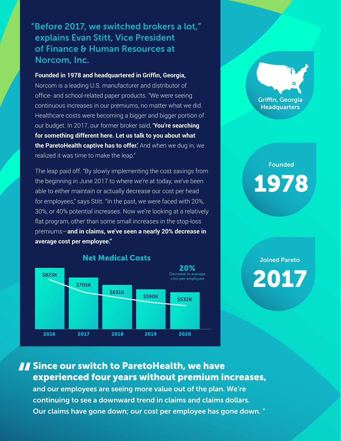#### "Before 2017, we switched brokers a lot," explains Evan Stitt, Vice President of Finance & Human Resources at Norcom, Inc.

**Founded in 1978 and headquartered in Griffin, Georgia,**  Norcom is a leading U.S. manufacturer and distributor of office- and school-related paper products. "We were seeing continuous increases in our premiums, no matter what we did. Healthcare costs were becoming a bigger and bigger portion of our budget. In 2017, our former broker said, **'You're searching for something different here. Let us talk to you about what the ParetoHealth captive has to offer.'** And when we dug in, we realized it was time to make the leap."

The leap paid off. "By slowly implementing the cost savings from the beginning in June 2017 to where we're at today, we've been able to either maintain or actually decrease our cost per head for employees," says Stitt. "In the past, we were faced with 20%, 30%, or 40% potential increases. Now we're looking at a relatively flat program, other than some small increases in the stop-loss premiums—**and in claims, we've seen a nearly 20% decrease in average cost per employee."**



Griffin, Georgia **Headquarters** 

### Founded 1978

### Joined Pareto

2017

## **Since our switch to ParetoHealth, we have**<br>experienced four years without premium ir<br>and our employees are seeing more value out of the plan. experienced four years without premium increases,

and our employees are seeing more value out of the plan. We're continuing to see a downward trend in claims and claims dollars. Our claims have gone down; our cost per employee has gone down. "